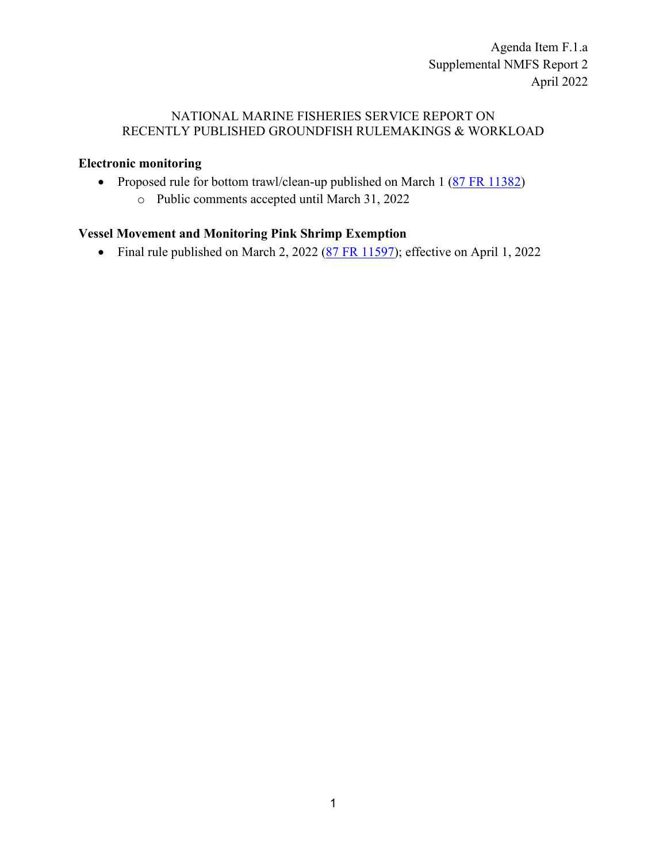Agenda Item F.1.a Supplemental NMFS Report 2 April 2022

## NATIONAL MARINE FISHERIES SERVICE REPORT ON RECENTLY PUBLISHED GROUNDFISH RULEMAKINGS & WORKLOAD

## **Electronic monitoring**

- Proposed rule for bottom trawl/clean-up published on March 1 [\(87 FR 11382\)](https://www.federalregister.gov/documents/2022/03/01/2022-03516/fisheries-off-west-coast-states-pacific-coast-groundfish-fishery-electronic-monitoring-program)
	- o Public comments accepted until March 31, 2022

## **Vessel Movement and Monitoring Pink Shrimp Exemption**

• Final rule published on March 2, 2022 [\(87 FR 11597\)](https://www.federalregister.gov/documents/2022/03/02/2022-04306/magnuson-stevens-act-provisions-fisheries-off-west-coast-states-pacific-coast-groundfish-fishery); effective on April 1, 2022